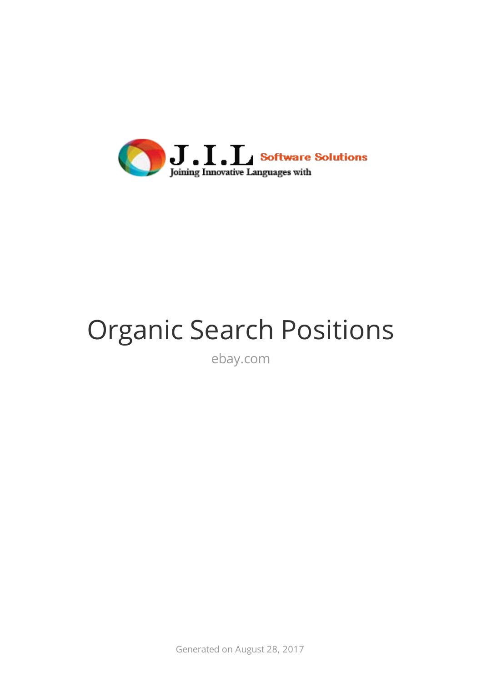

## Organic Search Positions

ebay.com

Generated on August 28, 2017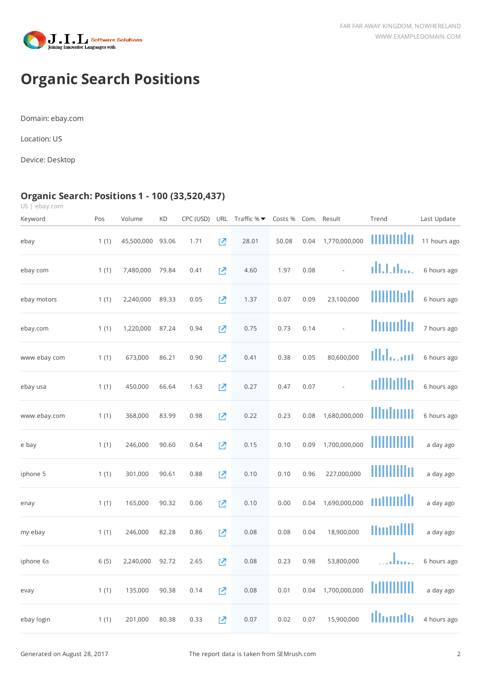



## **Organic Search Positions**

Domain: ebay.com

Location: US

Device: Desktop

## **Organic Search: Positions 1 - 100 (33,520,437)**

US | ebay.com

| Keyword      | Pos  | Volume     | <b>KD</b> | CPC (USD) | <b>URL</b> | Traffic % $\blacktriangledown$ | Costs % Com. Result |      |                | Trend       | Last Update  |
|--------------|------|------------|-----------|-----------|------------|--------------------------------|---------------------|------|----------------|-------------|--------------|
| ebay         | 1(1) | 45,500,000 | 93.06     | 1.71      | 囜          | 28.01                          | 50.08               | 0.04 | 1,770,000,000  | mmmla       | 11 hours ago |
| ebay com     | 1(1) | 7,480,000  | 79.84     | 0.41      | 진          | 4.60                           | 1.97                | 0.08 | $\overline{a}$ | dhhilaa.    | 6 hours ago  |
| ebay motors  | 1(1) | 2,240,000  | 89.33     | 0.05      | 진          | 1.37                           | 0.07                | 0.09 | 23,100,000     | шш          | 6 hours ago  |
| ebay.com     | 1(1) | 1,220,000  | 87.24     | 0.94      | 囜          | 0.75                           | 0.73                | 0.14 | $\overline{a}$ | Hunullu     | 7 hours ago  |
| www ebay com | 1(1) | 673,000    | 86.21     | 0.90      | Ŋ          | 0.41                           | 0.38                | 0.05 | 80,600,000     | Illilaan    | 6 hours ago  |
| ebay usa     | 1(1) | 450,000    | 66.64     | 1.63      | Ø          | 0.27                           | 0.47                | 0.07 |                | nillillilin | 6 hours ago  |
| www.ebay.com | 1(1) | 368,000    | 83.99     | 0.98      | 囜          | 0.22                           | 0.23                | 0.08 | 1,680,000,000  | llluluun    | 6 hours ago  |
| e bay        | 1(1) | 246,000    | 90.60     | 0.64      | 囜          | 0.15                           | 0.10                | 0.09 | 1,700,000,000  |             | a day ago    |
| iphone 5     | 1(1) | 301,000    | 90.61     | 0.88      | 진          | 0.10                           | 0.10                | 0.96 | 227,000,000    | WWWW        | a day ago    |
| enay         | 1(1) | 165,000    | 90.32     | 0.06      | 진          | 0.10                           | 0.00                | 0.04 | 1,690,000,000  | mmuulli     | a day ago    |
| my ebay      | 1(1) | 246,000    | 82.28     | 0.86      | 진          | 0.08                           | 0.08                | 0.04 | 18,900,000     | umullil     | a day ago    |
| iphone 6s    | 6(5) | 2,240,000  | 92.72     | 2.65      | 内          | 0.08                           | 0.23                | 0.98 | 53,800,000     |             | 6 hours ago  |
| evay         | 1(1) | 135,000    | 90.38     | 0.14      | 囜          | 0.08                           | 0.01                | 0.04 | 1,700,000,000  |             | a day ago    |
| ebay login   | 1(1) | 201,000    | 80.38     | 0.33      | 囜          | 0.07                           | 0.02                | 0.07 | 15,900,000     | Illiandh    | 4 hours ago  |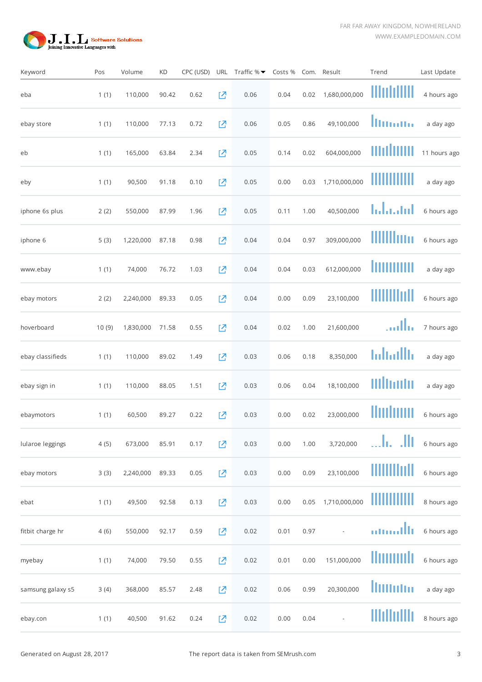

| Keyword           | Pos   | Volume    | KD    | CPC (USD) |          | URL Traffic $% \blacktriangleright$ | Costs % |      | Com. Result              | Trend               | Last Update  |
|-------------------|-------|-----------|-------|-----------|----------|-------------------------------------|---------|------|--------------------------|---------------------|--------------|
| eba               | 1(1)  | 110,000   | 90.42 | 0.62      | 진        | 0.06                                | 0.04    | 0.02 | 1,680,000,000            | IIImhiili           | 4 hours ago  |
| ebay store        | 1(1)  | 110,000   | 77.13 | 0.72      | 内        | 0.06                                | 0.05    | 0.86 | 49,100,000               | <u>llinana</u>      | a day ago    |
| eb                | 1(1)  | 165,000   | 63.84 | 2.34      | 진        | 0.05                                | 0.14    | 0.02 | 604,000,000              | mohum               | 11 hours ago |
| eby               | 1(1)  | 90,500    | 91.18 | 0.10      | Ø        | 0.05                                | 0.00    | 0.03 | 1,710,000,000            | ,,,,,,,,,,          | a day ago    |
| iphone 6s plus    | 2(2)  | 550,000   | 87.99 | 1.96      | 区        | 0.05                                | 0.11    | 1.00 | 40,500,000               | hdaand              | 6 hours ago  |
| iphone 6          | 5(3)  | 1,220,000 | 87.18 | 0.98      | 囜        | 0.04                                | 0.04    | 0.97 | 309,000,000              | WWW                 | 6 hours ago  |
| www.ebay          | 1(1)  | 74,000    | 76.72 | 1.03      | Ø        | 0.04                                | 0.04    | 0.03 | 612,000,000              | ,,,,,,,,,,,         | a day ago    |
| ebay motors       | 2(2)  | 2,240,000 | 89.33 | 0.05      | [Z       | 0.04                                | 0.00    | 0.09 | 23,100,000               | HIII III III        | 6 hours ago  |
| hoverboard        | 10(9) | 1,830,000 | 71.58 | 0.55      | [Z       | 0.04                                | 0.02    | 1.00 | 21,600,000               | تتللبت              | 7 hours ago  |
| ebay classifieds  | 1(1)  | 110,000   | 89.02 | 1.49      | Ø        | 0.03                                | 0.06    | 0.18 | 8,350,000                | hdhallh             | a day ago    |
| ebay sign in      | 1(1)  | 110,000   | 88.05 | 1.51      | 진        | 0.03                                | 0.06    | 0.04 | 18,100,000               | Mlbodu              | a day ago    |
| ebaymotors        | 1(1)  | 60,500    | 89.27 | 0.22      | 진        | 0.03                                | 0.00    | 0.02 | 23,000,000               | Huduun              | 6 hours ago  |
| Iularoe leggings  | 4(5)  | 673,000   | 85.91 | 0.17      | Ø        | 0.03                                | 0.00    | 1.00 | 3,720,000                | JI)<br>In.          | 6 hours ago  |
| ebay motors       | 3(3)  | 2,240,000 | 89.33 | 0.05      | $\Sigma$ | 0.03                                | 0.00    | 0.09 | 23,100,000               | <u>            </u> | 6 hours ago  |
| ebat              | 1(1)  | 49,500    | 92.58 | 0.13      | $\Sigma$ | 0.03                                | 0.00    | 0.05 | 1,710,000,000            | ШШШ                 | 8 hours ago  |
| fitbit charge hr  | 4(6)  | 550,000   | 92.17 | 0.59      | Ø        | 0.02                                | 0.01    | 0.97 | $\overline{\phantom{a}}$ | amallı              | 6 hours ago  |
| myebay            | 1(1)  | 74,000    | 79.50 | 0.55      | 진        | 0.02                                | 0.01    | 0.00 | 151,000,000              | lluuudi             | 6 hours ago  |
| samsung galaxy s5 | 3(4)  | 368,000   | 85.57 | 2.48      | 囜        | 0.02                                | 0.06    | 0.99 | 20,300,000               | lliitutui           | a day ago    |
| ebay.con          | 1(1)  | 40,500    | 91.62 | 0.24      | 囜        | 0.02                                | 0.00    | 0.04 |                          | WOUTH               | 8 hours ago  |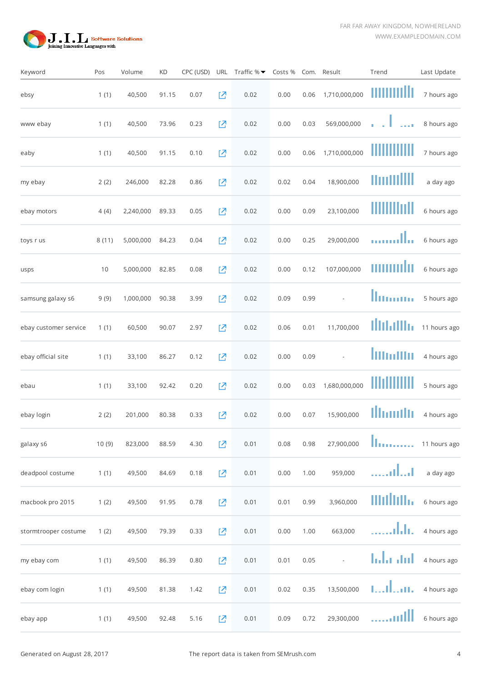

| Keyword               | Pos   | Volume    | KD    | CPC (USD) |   | URL Traffic $% \blacktriangleright$ | Costs % |      | Com. Result   | Trend                                         | Last Update  |
|-----------------------|-------|-----------|-------|-----------|---|-------------------------------------|---------|------|---------------|-----------------------------------------------|--------------|
| ebsy                  | 1(1)  | 40,500    | 91.15 | 0.07      | 囜 | 0.02                                | 0.00    | 0.06 | 1,710,000,000 | umili                                         | 7 hours ago  |
| www ebay              | 1(1)  | 40,500    | 73.96 | 0.23      | 囜 | 0.02                                | 0.00    | 0.03 | 569,000,000   | $\frac{1}{2}$ , $\frac{1}{2}$ , $\frac{1}{2}$ | 8 hours ago  |
| eaby                  | 1(1)  | 40,500    | 91.15 | 0.10      | 囜 | 0.02                                | 0.00    | 0.06 | 1,710,000,000 |                                               | 7 hours ago  |
| my ebay               | 2(2)  | 246,000   | 82.28 | 0.86      | 囜 | 0.02                                | 0.02    | 0.04 | 18,900,000    | Hudillil                                      | a day ago    |
| ebay motors           | 4(4)  | 2,240,000 | 89.33 | 0.05      | 진 | 0.02                                | 0.00    | 0.09 | 23,100,000    | WOU                                           | 6 hours ago  |
| toys r us             | 8(11) | 5,000,000 | 84.23 | 0.04      | 囜 | 0.02                                | 0.00    | 0.25 | 29,000,000    |                                               | 6 hours ago  |
| usps                  | 10    | 5,000,000 | 82.85 | 0.08      | 囜 | 0.02                                | 0.00    | 0.12 | 107,000,000   | шшшш                                          | 6 hours ago  |
| samsung galaxy s6     | 9(9)  | 1,000,000 | 90.38 | 3.99      | 囜 | 0.02                                | 0.09    | 0.99 |               | llumun                                        | 5 hours ago  |
| ebay customer service | 1(1)  | 60,500    | 90.07 | 2.97      | 囜 | 0.02                                | 0.06    | 0.01 | 11,700,000    | ilidalla.                                     | 11 hours ago |
| ebay official site    | 1(1)  | 33,100    | 86.27 | 0.12      | 囜 | 0.02                                | 0.00    | 0.09 |               | lilinilin                                     | 4 hours ago  |
| ebau                  | 1(1)  | 33,100    | 92.42 | 0.20      | 진 | 0.02                                | 0.00    | 0.03 | 1,680,000,000 |                                               | 5 hours ago  |
| ebay login            | 2(2)  | 201,000   | 80.38 | 0.33      | 忆 | 0.02                                | 0.00    | 0.07 | 15,900,000    | llhouth                                       | 4 hours ago  |
| galaxy s6             | 10(9) | 823,000   | 88.59 | 4.30      | Ŋ | 0.01                                | 0.08    | 0.98 | 27,900,000    | Iı.                                           | 11 hours ago |
| deadpool costume      | 1(1)  | 49,500    | 84.69 | 0.18      | Ŋ | 0.01                                | 0.00    | 1.00 | 959,000       | alua                                          | a day ago    |
| macbook pro 2015      | 1(2)  | 49,500    | 91.95 | 0.78      | 진 | 0.01                                | 0.01    | 0.99 | 3,960,000     | millilli.                                     | 6 hours ago  |
| stormtrooper costume  | 1(2)  | 49,500    | 79.39 | 0.33      | 진 | 0.01                                | 0.00    | 1.00 | 663,000       | aldı.                                         | 4 hours ago  |
| my ebay com           | 1(1)  | 49,500    | 86.39 | 0.80      | 진 | 0.01                                | 0.01    | 0.05 | $\Box$        | lala ant                                      | 4 hours ago  |
| ebay com login        | 1(1)  | 49,500    | 81.38 | 1.42      | 囜 | 0.01                                | 0.02    | 0.35 | 13,500,000    | millian.                                      | 4 hours ago  |
| ebay app              | 1(1)  | 49,500    | 92.48 | 5.16      | 囜 | 0.01                                | 0.09    | 0.72 | 29,300,000    |                                               | 6 hours ago  |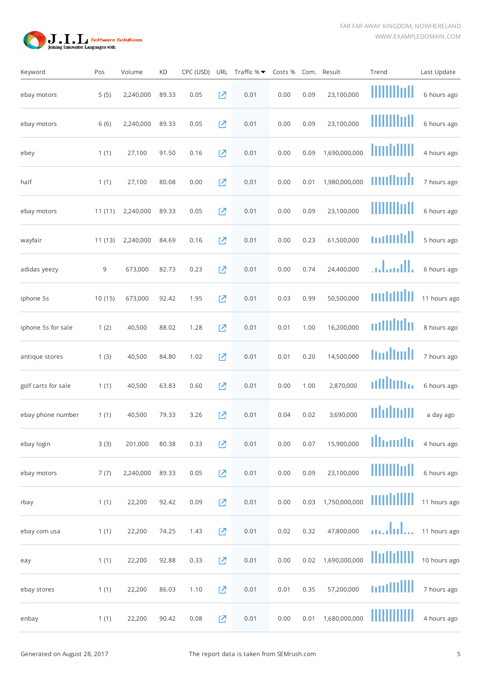

| Keyword             | Pos    | Volume    | <b>KD</b> | CPC (USD) | URL      | Traffic $% \blacktriangleright$ | Costs % |      | Com. Result   | Trend       | Last Update  |
|---------------------|--------|-----------|-----------|-----------|----------|---------------------------------|---------|------|---------------|-------------|--------------|
| ebay motors         | 5(5)   | 2,240,000 | 89.33     | 0.05      | 囜        | 0.01                            | 0.00    | 0.09 | 23,100,000    | Ш           | 6 hours ago  |
| ebay motors         | 6(6)   | 2,240,000 | 89.33     | 0.05      | 囜        | 0.01                            | 0.00    | 0.09 | 23,100,000    | ,,,,,,,,,,, | 6 hours ago  |
| ebey                | 1(1)   | 27,100    | 91.50     | 0.16      | [Z       | 0.01                            | 0.00    | 0.09 | 1,690,000,000 | IIIIIIIIIII | 4 hours ago  |
| half                | 1(1)   | 27,100    | 80.08     | 0.00      | 忆        | 0.01                            | 0.00    | 0.01 | 1,980,000,000 | unilmit     | 7 hours ago  |
| ebay motors         | 11(11) | 2,240,000 | 89.33     | 0.05      | 진        | 0.01                            | 0.00    | 0.09 | 23,100,000    | !!!!!!!!!!! | 6 hours ago  |
| wayfair             | 11(13) | 2,240,000 | 84.69     | 0.16      | 진        | 0.01                            | 0.00    | 0.23 | 61,500,000    | muulill     | 5 hours ago  |
| adidas yeezy        | 9      | 673,000   | 82.73     | 0.23      | Ø        | 0.01                            | 0.00    | 0.74 | 24,400,000    | بالسام      | 6 hours ago  |
| iphone 5s           | 10(15) | 673,000   | 92.42     | 1.95      | 忆        | 0.01                            | 0.03    | 0.99 | 50,500,000    | muulli      | 11 hours ago |
| iphone 5s for sale  | 1(2)   | 40,500    | 88.02     | 1.28      | 忆        | 0.01                            | 0.01    | 1.00 | 16,200,000    | adillilir   | 8 hours ago  |
| antique stores      | 1(3)   | 40,500    | 84.80     | 1.02      | Ø        | 0.01                            | 0.01    | 0.20 | 14,500,000    | toolboll    | 7 hours ago  |
| golf carts for sale | 1(1)   | 40,500    | 63.83     | 0.60      | 진        | 0.01                            | 0.00    | 1.00 | 2,870,000     | ulllillin   | 6 hours ago  |
| ebay phone number   | 1(1)   | 40,500    | 79.33     | 3.26      | 진        | 0.01                            | 0.04    | 0.02 | 3,690,000     | uhdudu      | a day ago    |
| ebay login          | 3(3)   | 201,000   | 80.38     | 0.33      | Ø        | 0.01                            | 0.00    | 0.07 | 15,900,000    | llhouth     | 4 hours ago  |
| ebay motors         | 7(7)   | 2,240,000 | 89.33     | 0.05      | $\Sigma$ | 0.01                            | 0.00    | 0.09 | 23,100,000    | WWWW        | 6 hours ago  |
| rbay                | 1(1)   | 22,200    | 92.42     | 0.09      | $\Sigma$ | 0.01                            | 0.00    | 0.03 | 1,750,000,000 | muhilili    | 11 hours ago |
| ebay com usa        | 1(1)   | 22,200    | 74.25     | 1.43      | $\Sigma$ | 0.01                            | 0.02    | 0.32 | 47,800,000    | analul      | 11 hours ago |
| eay                 | 1(1)   | 22,200    | 92.88     | 0.33      | $\Sigma$ | 0.01                            | 0.00    | 0.02 | 1,690,000,000 | IIIIIIIIIII | 10 hours ago |
| ebay stores         | 1(1)   | 22,200    | 86.03     | 1.10      | 囜        | 0.01                            | 0.01    | 0.35 | 57,200,000    | mullill     | 7 hours ago  |
| enbay               | 1(1)   | 22,200    | 90.42     | 0.08      | [Z       | 0.01                            | 0.00    | 0.01 | 1,680,000,000 | THUIHII     | 4 hours ago  |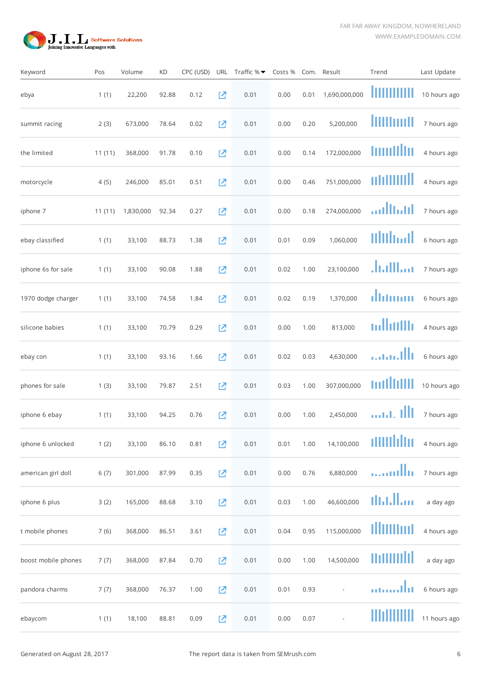

| Keyword             | Pos    | Volume    | <b>KD</b> | CPC (USD) | URL      | Traffic $% \blacktriangleright$ | Costs % |      | Com. Result              | Trend           | Last Update  |
|---------------------|--------|-----------|-----------|-----------|----------|---------------------------------|---------|------|--------------------------|-----------------|--------------|
| ebya                | 1(1)   | 22,200    | 92.88     | 0.12      | 진        | 0.01                            | 0.00    | 0.01 | 1,690,000,000            |                 | 10 hours ago |
| summit racing       | 2(3)   | 673,000   | 78.64     | 0.02      | [Z       | 0.01                            | 0.00    | 0.20 | 5,200,000                | liilimil        | 7 hours ago  |
| the limited         | 11(11) | 368,000   | 91.78     | 0.10      | [Z       | 0.01                            | 0.00    | 0.14 | 172,000,000              | huulllu         | 4 hours ago  |
| motorcycle          | 4(5)   | 246,000   | 85.01     | 0.51      | 囜        | 0.01                            | 0.00    | 0.46 | 751,000,000              | n h 11 11 11 11 | 4 hours ago  |
| iphone 7            | 11(11) | 1,830,000 | 92.34     | 0.27      | 囜        | 0.01                            | 0.00    | 0.18 | 274,000,000              | adhaid          | 7 hours ago  |
| ebay classified     | 1(1)   | 33,100    | 88.73     | 1.38      | 진        | 0.01                            | 0.01    | 0.09 | 1,060,000                | Milliadh        | 6 hours ago  |
| iphone 6s for sale  | 1(1)   | 33,100    | 90.08     | 1.88      | 囜        | 0.01                            | 0.02    | 1.00 | 23,100,000               | ساالتيا.        | 7 hours ago  |
| 1970 dodge charger  | 1(1)   | 33,100    | 74.58     | 1.84      | [Z       | 0.01                            | 0.02    | 0.19 | 1,370,000                | dumm            | 6 hours ago  |
| silicone babies     | 1(1)   | 33,100    | 70.79     | 0.29      | 囜        | 0.01                            | 0.00    | 1.00 | 813,000                  | mllatilli       | 4 hours ago  |
| ebay con            | 1(1)   | 33,100    | 93.16     | 1.66      | 囜        | 0.01                            | 0.02    | 0.03 | 4,630,000                | . 1111          | 6 hours ago  |
| phones for sale     | 1(3)   | 33,100    | 79.87     | 2.51      | 囜        | 0.01                            | 0.03    | 1.00 | 307,000,000              | millillil       | 10 hours ago |
| iphone 6 ebay       | 1(1)   | 33,100    | 94.25     | 0.76      | 囜        | 0.01                            | 0.00    | 1.00 | 2,450,000                | aan ill         | 7 hours ago  |
| iphone 6 unlocked   | 1(2)   | 33,100    | 86.10     | 0.81      | Ø        | 0.01                            | 0.01    | 1.00 | 14,100,000               | amulatan        | 4 hours ago  |
| american girl doll  | 6(7)   | 301,000   | 87.99     | 0.35      | $\Sigma$ | 0.01                            | 0.00    | 0.76 | 6,880,000                | aalla           | 7 hours ago  |
| iphone 6 plus       | 3(2)   | 165,000   | 88.68     | 3.10      | $\Sigma$ | 0.01                            | 0.03    | 1.00 | 46,600,000               | մենԱտ           | a day ago    |
| t mobile phones     | 7(6)   | 368,000   | 86.51     | 3.61      | $\Sigma$ | 0.01                            | 0.04    | 0.95 | 115,000,000              | ıllımını        | 4 hours ago  |
| boost mobile phones | 7(7)   | 368,000   | 87.84     | 0.70      | 진        | 0.01                            | 0.00    | 1.00 | 14,500,000               | muuuld          | a day ago    |
| pandora charms      | 7(7)   | 368,000   | 76.37     | 1.00      | 囜        | 0.01                            | 0.01    | 0.93 | $\overline{\phantom{a}}$ | mmathi          | 6 hours ago  |
| ebaycom             | 1(1)   | 18,100    | 88.81     | 0.09      | 囜        | 0.01                            | 0.00    | 0.07 |                          | IIIIIIIIIII     | 11 hours ago |